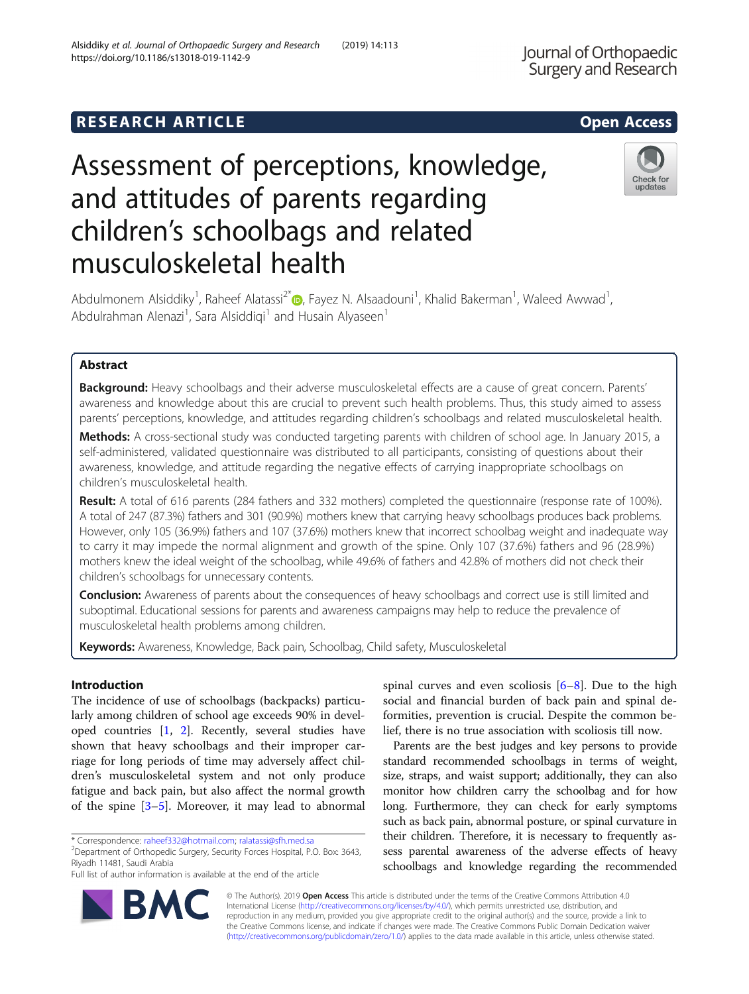## **RESEARCH ARTICLE Example 2014 12:30 The SEAR CH ACCESS**

# Assessment of perceptions, knowledge, and attitudes of parents regarding children's schoolbags and related musculoskeletal health

Abdulmonem Alsiddiky<sup>1</sup>[,](http://orcid.org/0000-0003-0822-1118) Raheef Alatassi<sup>2\*</sup> (D, Fayez N. Alsaadouni<sup>1</sup>, Khalid Bakerman<sup>1</sup>, Waleed Awwad<sup>1</sup> , Abdulrahman Alenazi<sup>1</sup>, Sara Alsiddiqi<sup>1</sup> and Husain Alyaseen<sup>1</sup>

## Abstract

Background: Heavy schoolbags and their adverse musculoskeletal effects are a cause of great concern. Parents' awareness and knowledge about this are crucial to prevent such health problems. Thus, this study aimed to assess parents' perceptions, knowledge, and attitudes regarding children's schoolbags and related musculoskeletal health.

Methods: A cross-sectional study was conducted targeting parents with children of school age. In January 2015, a self-administered, validated questionnaire was distributed to all participants, consisting of questions about their awareness, knowledge, and attitude regarding the negative effects of carrying inappropriate schoolbags on children's musculoskeletal health.

Result: A total of 616 parents (284 fathers and 332 mothers) completed the questionnaire (response rate of 100%). A total of 247 (87.3%) fathers and 301 (90.9%) mothers knew that carrying heavy schoolbags produces back problems. However, only 105 (36.9%) fathers and 107 (37.6%) mothers knew that incorrect schoolbag weight and inadequate way to carry it may impede the normal alignment and growth of the spine. Only 107 (37.6%) fathers and 96 (28.9%) mothers knew the ideal weight of the schoolbag, while 49.6% of fathers and 42.8% of mothers did not check their children's schoolbags for unnecessary contents.

Conclusion: Awareness of parents about the consequences of heavy schoolbags and correct use is still limited and suboptimal. Educational sessions for parents and awareness campaigns may help to reduce the prevalence of musculoskeletal health problems among children.

Keywords: Awareness, Knowledge, Back pain, Schoolbag, Child safety, Musculoskeletal

## Introduction

The incidence of use of schoolbags (backpacks) particularly among children of school age exceeds 90% in developed countries [\[1](#page-3-0), [2](#page-3-0)]. Recently, several studies have shown that heavy schoolbags and their improper carriage for long periods of time may adversely affect children's musculoskeletal system and not only produce fatigue and back pain, but also affect the normal growth of the spine [\[3](#page-3-0)–[5](#page-3-0)]. Moreover, it may lead to abnormal

Department of Orthopedic Surgery, Security Forces Hospital, P.O. Box: 3643, Riyadh 11481, Saudi Arabia

Full list of author information is available at the end of the article

spinal curves and even scoliosis  $[6-8]$  $[6-8]$  $[6-8]$  $[6-8]$  $[6-8]$ . Due to the high social and financial burden of back pain and spinal deformities, prevention is crucial. Despite the common belief, there is no true association with scoliosis till now.

Parents are the best judges and key persons to provide standard recommended schoolbags in terms of weight, size, straps, and waist support; additionally, they can also monitor how children carry the schoolbag and for how long. Furthermore, they can check for early symptoms such as back pain, abnormal posture, or spinal curvature in their children. Therefore, it is necessary to frequently assess parental awareness of the adverse effects of heavy schoolbags and knowledge regarding the recommended

© The Author(s). 2019 Open Access This article is distributed under the terms of the Creative Commons Attribution 4.0 International License [\(http://creativecommons.org/licenses/by/4.0/](http://creativecommons.org/licenses/by/4.0/)), which permits unrestricted use, distribution, and reproduction in any medium, provided you give appropriate credit to the original author(s) and the source, provide a link to the Creative Commons license, and indicate if changes were made. The Creative Commons Public Domain Dedication waiver [\(http://creativecommons.org/publicdomain/zero/1.0/](http://creativecommons.org/publicdomain/zero/1.0/)) applies to the data made available in this article, unless otherwise stated.







<sup>\*</sup> Correspondence: [raheef332@hotmail.com;](mailto:raheef332@hotmail.com) [ralatassi@sfh.med.sa](mailto:ralatassi@sfh.med.sa) <sup>2</sup>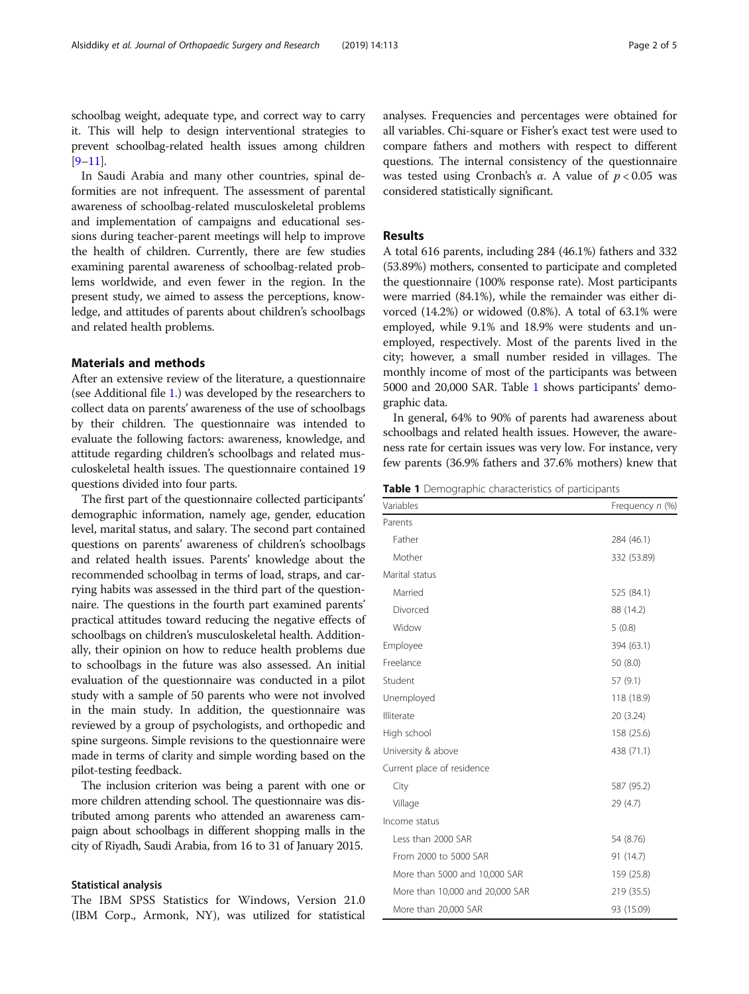schoolbag weight, adequate type, and correct way to carry it. This will help to design interventional strategies to prevent schoolbag-related health issues among children  $[9-11]$  $[9-11]$  $[9-11]$  $[9-11]$ .

In Saudi Arabia and many other countries, spinal deformities are not infrequent. The assessment of parental awareness of schoolbag-related musculoskeletal problems and implementation of campaigns and educational sessions during teacher-parent meetings will help to improve the health of children. Currently, there are few studies examining parental awareness of schoolbag-related problems worldwide, and even fewer in the region. In the present study, we aimed to assess the perceptions, knowledge, and attitudes of parents about children's schoolbags and related health problems.

## Materials and methods

After an extensive review of the literature, a questionnaire (see Additional file [1](#page-3-0).) was developed by the researchers to collect data on parents' awareness of the use of schoolbags by their children. The questionnaire was intended to evaluate the following factors: awareness, knowledge, and attitude regarding children's schoolbags and related musculoskeletal health issues. The questionnaire contained 19 questions divided into four parts.

The first part of the questionnaire collected participants' demographic information, namely age, gender, education level, marital status, and salary. The second part contained questions on parents' awareness of children's schoolbags and related health issues. Parents' knowledge about the recommended schoolbag in terms of load, straps, and carrying habits was assessed in the third part of the questionnaire. The questions in the fourth part examined parents' practical attitudes toward reducing the negative effects of schoolbags on children's musculoskeletal health. Additionally, their opinion on how to reduce health problems due to schoolbags in the future was also assessed. An initial evaluation of the questionnaire was conducted in a pilot study with a sample of 50 parents who were not involved in the main study. In addition, the questionnaire was reviewed by a group of psychologists, and orthopedic and spine surgeons. Simple revisions to the questionnaire were made in terms of clarity and simple wording based on the pilot-testing feedback.

The inclusion criterion was being a parent with one or more children attending school. The questionnaire was distributed among parents who attended an awareness campaign about schoolbags in different shopping malls in the city of Riyadh, Saudi Arabia, from 16 to 31 of January 2015.

#### Statistical analysis

The IBM SPSS Statistics for Windows, Version 21.0 (IBM Corp., Armonk, NY), was utilized for statistical analyses. Frequencies and percentages were obtained for all variables. Chi-square or Fisher's exact test were used to compare fathers and mothers with respect to different questions. The internal consistency of the questionnaire was tested using Cronbach's  $\alpha$ . A value of  $p < 0.05$  was considered statistically significant.

## Results

A total 616 parents, including 284 (46.1%) fathers and 332 (53.89%) mothers, consented to participate and completed the questionnaire (100% response rate). Most participants were married (84.1%), while the remainder was either divorced (14.2%) or widowed (0.8%). A total of 63.1% were employed, while 9.1% and 18.9% were students and unemployed, respectively. Most of the parents lived in the city; however, a small number resided in villages. The monthly income of most of the participants was between 5000 and 20,000 SAR. Table 1 shows participants' demographic data.

In general, 64% to 90% of parents had awareness about schoolbags and related health issues. However, the awareness rate for certain issues was very low. For instance, very few parents (36.9% fathers and 37.6% mothers) knew that

Table 1 Demographic characteristics of participants

| Variables                       | Frequency n (%) |
|---------------------------------|-----------------|
| Parents                         |                 |
| Father                          | 284 (46.1)      |
| Mother                          | 332 (53.89)     |
| Marital status                  |                 |
| Married                         | 525 (84.1)      |
| Divorced                        | 88 (14.2)       |
| Widow                           | 5(0.8)          |
| Employee                        | 394 (63.1)      |
| Freelance                       | 50 (8.0)        |
| Student                         | 57(9.1)         |
| Unemployed                      | 118 (18.9)      |
| Illiterate                      | 20 (3.24)       |
| High school                     | 158 (25.6)      |
| University & above              | 438 (71.1)      |
| Current place of residence      |                 |
| City                            | 587 (95.2)      |
| Village                         | 29(4.7)         |
| Income status                   |                 |
| Less than 2000 SAR              | 54 (8.76)       |
| From 2000 to 5000 SAR           | 91 (14.7)       |
| More than 5000 and 10,000 SAR   | 159 (25.8)      |
| More than 10,000 and 20,000 SAR | 219 (35.5)      |
| More than 20,000 SAR            | 93 (15.09)      |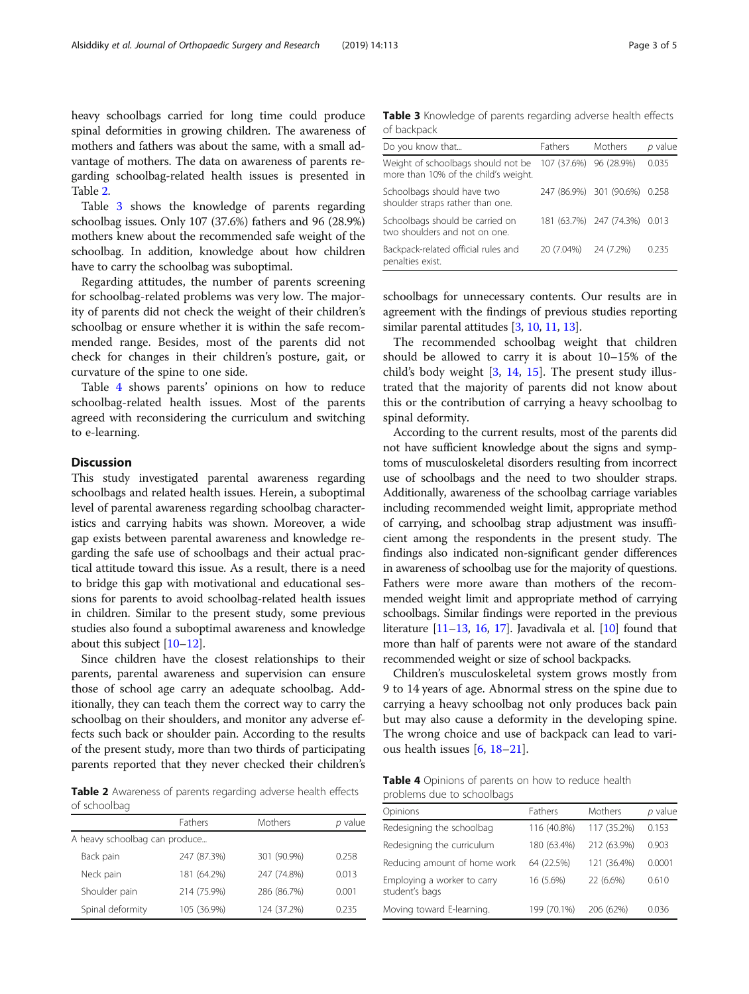heavy schoolbags carried for long time could produce spinal deformities in growing children. The awareness of mothers and fathers was about the same, with a small advantage of mothers. The data on awareness of parents regarding schoolbag-related health issues is presented in Table 2.

Table 3 shows the knowledge of parents regarding schoolbag issues. Only 107 (37.6%) fathers and 96 (28.9%) mothers knew about the recommended safe weight of the schoolbag. In addition, knowledge about how children have to carry the schoolbag was suboptimal.

Regarding attitudes, the number of parents screening for schoolbag-related problems was very low. The majority of parents did not check the weight of their children's schoolbag or ensure whether it is within the safe recommended range. Besides, most of the parents did not check for changes in their children's posture, gait, or curvature of the spine to one side.

Table 4 shows parents' opinions on how to reduce schoolbag-related health issues. Most of the parents agreed with reconsidering the curriculum and switching to e-learning.

## **Discussion**

This study investigated parental awareness regarding schoolbags and related health issues. Herein, a suboptimal level of parental awareness regarding schoolbag characteristics and carrying habits was shown. Moreover, a wide gap exists between parental awareness and knowledge regarding the safe use of schoolbags and their actual practical attitude toward this issue. As a result, there is a need to bridge this gap with motivational and educational sessions for parents to avoid schoolbag-related health issues in children. Similar to the present study, some previous studies also found a suboptimal awareness and knowledge about this subject [\[10](#page-4-0)–[12](#page-4-0)].

Since children have the closest relationships to their parents, parental awareness and supervision can ensure those of school age carry an adequate schoolbag. Additionally, they can teach them the correct way to carry the schoolbag on their shoulders, and monitor any adverse effects such back or shoulder pain. According to the results of the present study, more than two thirds of participating parents reported that they never checked their children's

Table 2 Awareness of parents regarding adverse health effects of schoolbag

|                               | <b>Fathers</b> | <b>Mothers</b> | p value |
|-------------------------------|----------------|----------------|---------|
| A heavy schoolbag can produce |                |                |         |
| Back pain                     | 247 (87.3%)    | 301 (90.9%)    | 0.258   |
| Neck pain                     | 181 (64.2%)    | 247 (74.8%)    | 0.013   |
| Shoulder pain                 | 214 (75.9%)    | 286 (86.7%)    | 0.001   |
| Spinal deformity              | 105 (36.9%)    | 124 (37.2%)    | 0.235   |

Table 3 Knowledge of parents regarding adverse health effects of backpack

| Fathers    | Mothers   | p value                                                                                  |
|------------|-----------|------------------------------------------------------------------------------------------|
|            |           | 0.035                                                                                    |
|            |           |                                                                                          |
|            |           |                                                                                          |
| 20 (7.04%) | 24 (7.2%) | 0.235                                                                                    |
|            |           | 107 (37.6%) 96 (28.9%)<br>247 (86.9%) 301 (90.6%) 0.258<br>181 (63.7%) 247 (74.3%) 0.013 |

schoolbags for unnecessary contents. Our results are in agreement with the findings of previous studies reporting similar parental attitudes [[3,](#page-3-0) [10,](#page-4-0) [11](#page-4-0), [13\]](#page-4-0).

The recommended schoolbag weight that children should be allowed to carry it is about 10–15% of the child's body weight [[3,](#page-3-0) [14,](#page-4-0) [15\]](#page-4-0). The present study illustrated that the majority of parents did not know about this or the contribution of carrying a heavy schoolbag to spinal deformity.

According to the current results, most of the parents did not have sufficient knowledge about the signs and symptoms of musculoskeletal disorders resulting from incorrect use of schoolbags and the need to two shoulder straps. Additionally, awareness of the schoolbag carriage variables including recommended weight limit, appropriate method of carrying, and schoolbag strap adjustment was insufficient among the respondents in the present study. The findings also indicated non-significant gender differences in awareness of schoolbag use for the majority of questions. Fathers were more aware than mothers of the recommended weight limit and appropriate method of carrying schoolbags. Similar findings were reported in the previous literature  $[11-13, 16, 17]$  $[11-13, 16, 17]$  $[11-13, 16, 17]$  $[11-13, 16, 17]$  $[11-13, 16, 17]$  $[11-13, 16, 17]$  $[11-13, 16, 17]$ . Javadivala et al.  $[10]$  $[10]$  $[10]$  found that more than half of parents were not aware of the standard recommended weight or size of school backpacks.

Children's musculoskeletal system grows mostly from 9 to 14 years of age. Abnormal stress on the spine due to carrying a heavy schoolbag not only produces back pain but may also cause a deformity in the developing spine. The wrong choice and use of backpack can lead to various health issues [[6,](#page-3-0) [18](#page-4-0)–[21](#page-4-0)].

| <b>Table 4</b> Opinions of parents on how to reduce health |  |  |  |
|------------------------------------------------------------|--|--|--|
| problems due to schoolbags                                 |  |  |  |

| Opinions                                      | Fathers     | Mothers     | p value |
|-----------------------------------------------|-------------|-------------|---------|
| Redesigning the schoolbag                     | 116 (40.8%) | 117 (35.2%) | 0.153   |
| Redesigning the curriculum                    | 180 (63.4%) | 212 (63.9%) | 0.903   |
| Reducing amount of home work                  | 64 (22.5%)  | 121 (36.4%) | 0.0001  |
| Employing a worker to carry<br>student's bags | 16 (5.6%)   | 22 (6.6%)   | 0.610   |
| Moving toward E-learning.                     | 199 (70.1%) | 206 (62%)   | 0.036   |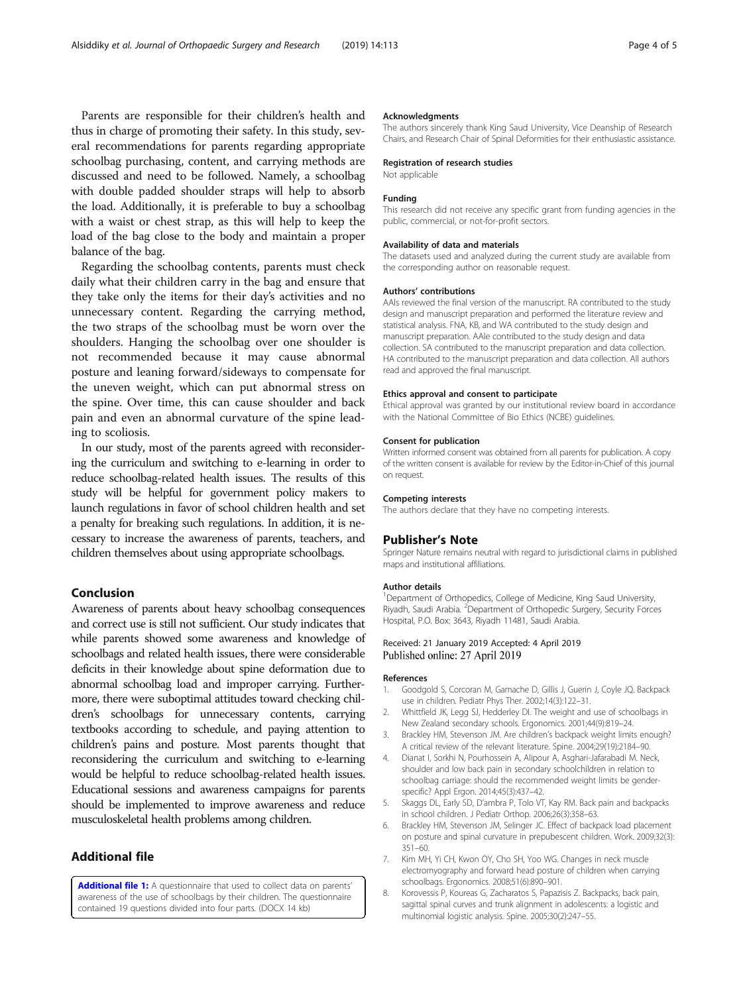<span id="page-3-0"></span>Parents are responsible for their children's health and thus in charge of promoting their safety. In this study, several recommendations for parents regarding appropriate schoolbag purchasing, content, and carrying methods are discussed and need to be followed. Namely, a schoolbag with double padded shoulder straps will help to absorb the load. Additionally, it is preferable to buy a schoolbag with a waist or chest strap, as this will help to keep the load of the bag close to the body and maintain a proper balance of the bag.

Regarding the schoolbag contents, parents must check daily what their children carry in the bag and ensure that they take only the items for their day's activities and no unnecessary content. Regarding the carrying method, the two straps of the schoolbag must be worn over the shoulders. Hanging the schoolbag over one shoulder is not recommended because it may cause abnormal posture and leaning forward/sideways to compensate for the uneven weight, which can put abnormal stress on the spine. Over time, this can cause shoulder and back pain and even an abnormal curvature of the spine leading to scoliosis.

In our study, most of the parents agreed with reconsidering the curriculum and switching to e-learning in order to reduce schoolbag-related health issues. The results of this study will be helpful for government policy makers to launch regulations in favor of school children health and set a penalty for breaking such regulations. In addition, it is necessary to increase the awareness of parents, teachers, and children themselves about using appropriate schoolbags.

## Conclusion

Awareness of parents about heavy schoolbag consequences and correct use is still not sufficient. Our study indicates that while parents showed some awareness and knowledge of schoolbags and related health issues, there were considerable deficits in their knowledge about spine deformation due to abnormal schoolbag load and improper carrying. Furthermore, there were suboptimal attitudes toward checking children's schoolbags for unnecessary contents, carrying textbooks according to schedule, and paying attention to children's pains and posture. Most parents thought that reconsidering the curriculum and switching to e-learning would be helpful to reduce schoolbag-related health issues. Educational sessions and awareness campaigns for parents should be implemented to improve awareness and reduce musculoskeletal health problems among children.

## Additional file

[Additional file 1:](https://doi.org/10.1186/s13018-019-1142-9) A questionnaire that used to collect data on parents' awareness of the use of schoolbags by their children. The questionnaire contained 19 questions divided into four parts. (DOCX 14 kb)

#### Acknowledgments

The authors sincerely thank King Saud University, Vice Deanship of Research Chairs, and Research Chair of Spinal Deformities for their enthusiastic assistance.

#### Registration of research studies

Not applicable

#### Funding

This research did not receive any specific grant from funding agencies in the public, commercial, or not-for-profit sectors.

#### Availability of data and materials

The datasets used and analyzed during the current study are available from the corresponding author on reasonable request.

#### Authors' contributions

AAls reviewed the final version of the manuscript. RA contributed to the study design and manuscript preparation and performed the literature review and statistical analysis. FNA, KB, and WA contributed to the study design and manuscript preparation. AAle contributed to the study design and data collection. SA contributed to the manuscript preparation and data collection. HA contributed to the manuscript preparation and data collection. All authors read and approved the final manuscript.

#### Ethics approval and consent to participate

Ethical approval was granted by our institutional review board in accordance with the National Committee of Bio Ethics (NCBE) guidelines.

#### Consent for publication

Written informed consent was obtained from all parents for publication. A copy of the written consent is available for review by the Editor-in-Chief of this journal on request.

#### Competing interests

The authors declare that they have no competing interests.

#### Publisher's Note

Springer Nature remains neutral with regard to jurisdictional claims in published maps and institutional affiliations.

#### Author details

<sup>1</sup> Department of Orthopedics, College of Medicine, King Saud University, Riyadh, Saudi Arabia. <sup>2</sup> Department of Orthopedic Surgery, Security Forces Hospital, P.O. Box: 3643, Riyadh 11481, Saudi Arabia.

#### Received: 21 January 2019 Accepted: 4 April 2019 Published online: 27 April 2019

#### References

- 1. Goodgold S, Corcoran M, Gamache D, Gillis J, Guerin J, Coyle JQ. Backpack use in children. Pediatr Phys Ther. 2002;14(3):122–31.
- 2. Whittfield JK, Legg SJ, Hedderley DI. The weight and use of schoolbags in New Zealand secondary schools. Ergonomics. 2001;44(9):819–24.
- 3. Brackley HM, Stevenson JM. Are children's backpack weight limits enough? A critical review of the relevant literature. Spine. 2004;29(19):2184–90.
- 4. Dianat I, Sorkhi N, Pourhossein A, Alipour A, Asghari-Jafarabadi M. Neck, shoulder and low back pain in secondary schoolchildren in relation to schoolbag carriage: should the recommended weight limits be genderspecific? Appl Ergon. 2014;45(3):437–42.
- 5. Skaggs DL, Early SD, D'ambra P, Tolo VT, Kay RM. Back pain and backpacks in school children. J Pediatr Orthop. 2006;26(3):358–63.
- 6. Brackley HM, Stevenson JM, Selinger JC. Effect of backpack load placement on posture and spinal curvature in prepubescent children. Work. 2009;32(3): 351–60.
- 7. Kim MH, Yi CH, Kwon OY, Cho SH, Yoo WG. Changes in neck muscle electromyography and forward head posture of children when carrying schoolbags. Ergonomics. 2008;51(6):890–901.
- 8. Korovessis P, Koureas G, Zacharatos S, Papazisis Z. Backpacks, back pain, sagittal spinal curves and trunk alignment in adolescents: a logistic and multinomial logistic analysis. Spine. 2005;30(2):247–55.